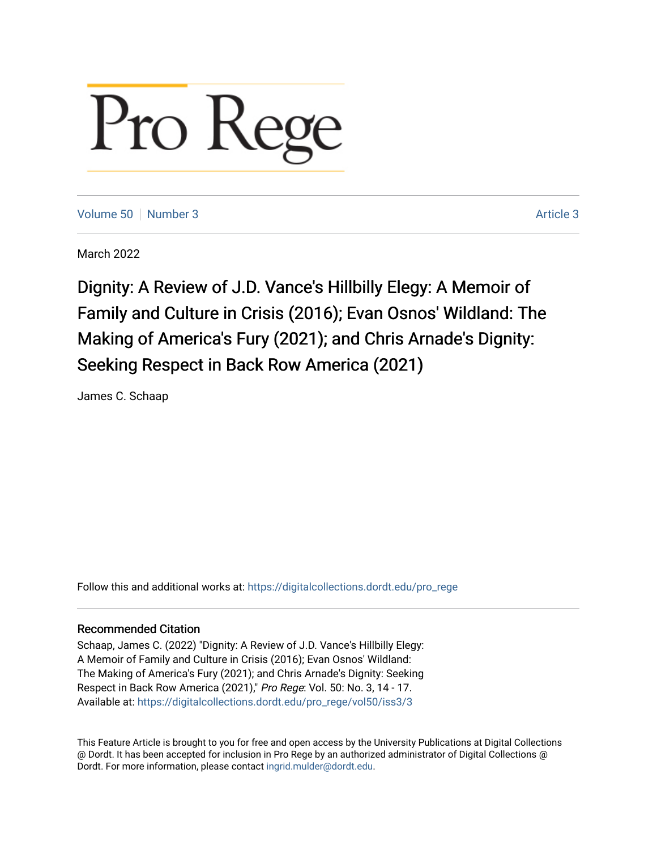## Pro Reg

[Volume 50](https://digitalcollections.dordt.edu/pro_rege/vol50) [Number 3](https://digitalcollections.dordt.edu/pro_rege/vol50/iss3) Article 3

March 2022

Dignity: A Review of J.D. Vance's Hillbilly Elegy: A Memoir of Family and Culture in Crisis (2016); Evan Osnos' Wildland: The Making of America's Fury (2021); and Chris Arnade's Dignity: Seeking Respect in Back Row America (2021)

James C. Schaap

Follow this and additional works at: [https://digitalcollections.dordt.edu/pro\\_rege](https://digitalcollections.dordt.edu/pro_rege?utm_source=digitalcollections.dordt.edu%2Fpro_rege%2Fvol50%2Fiss3%2F3&utm_medium=PDF&utm_campaign=PDFCoverPages) 

## Recommended Citation

Schaap, James C. (2022) "Dignity: A Review of J.D. Vance's Hillbilly Elegy: A Memoir of Family and Culture in Crisis (2016); Evan Osnos' Wildland: The Making of America's Fury (2021); and Chris Arnade's Dignity: Seeking Respect in Back Row America (2021)," Pro Rege: Vol. 50: No. 3, 14 - 17. Available at: [https://digitalcollections.dordt.edu/pro\\_rege/vol50/iss3/3](https://digitalcollections.dordt.edu/pro_rege/vol50/iss3/3?utm_source=digitalcollections.dordt.edu%2Fpro_rege%2Fvol50%2Fiss3%2F3&utm_medium=PDF&utm_campaign=PDFCoverPages) 

This Feature Article is brought to you for free and open access by the University Publications at Digital Collections @ Dordt. It has been accepted for inclusion in Pro Rege by an authorized administrator of Digital Collections @ Dordt. For more information, please contact [ingrid.mulder@dordt.edu.](mailto:ingrid.mulder@dordt.edu)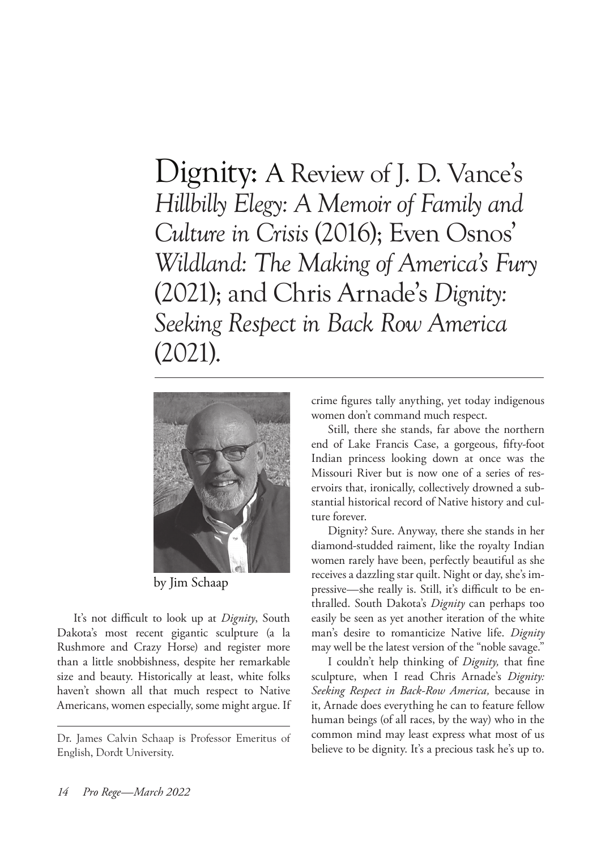Dignity: A Review of J. D. Vance's *Hillbilly Elegy: A Memoir of Family and Culture in Crisis* (2016); Even Osnos' *Wildland: The Making of America's Fury* (2021); and Chris Arnade's *Dignity: Seeking Respect in Back Row America* (2021).



by Jim Schaap

It's not difficult to look up at *Dignity*, South Dakota's most recent gigantic sculpture (a la Rushmore and Crazy Horse) and register more than a little snobbishness, despite her remarkable size and beauty. Historically at least, white folks haven't shown all that much respect to Native Americans, women especially, some might argue. If crime figures tally anything, yet today indigenous women don't command much respect.

Still, there she stands, far above the northern end of Lake Francis Case, a gorgeous, fifty-foot Indian princess looking down at once was the Missouri River but is now one of a series of reservoirs that, ironically, collectively drowned a substantial historical record of Native history and culture forever.

Dignity? Sure. Anyway, there she stands in her diamond-studded raiment, like the royalty Indian women rarely have been, perfectly beautiful as she receives a dazzling star quilt. Night or day, she's impressive—she really is. Still, it's difficult to be enthralled. South Dakota's *Dignity* can perhaps too easily be seen as yet another iteration of the white man's desire to romanticize Native life. *Dignity*  may well be the latest version of the "noble savage."

I couldn't help thinking of *Dignity,* that fine sculpture, when I read Chris Arnade's *Dignity: Seeking Respect in Back-Row America,* because in it, Arnade does everything he can to feature fellow human beings (of all races, by the way) who in the common mind may least express what most of us believe to be dignity. It's a precious task he's up to.

Dr. James Calvin Schaap is Professor Emeritus of English, Dordt University.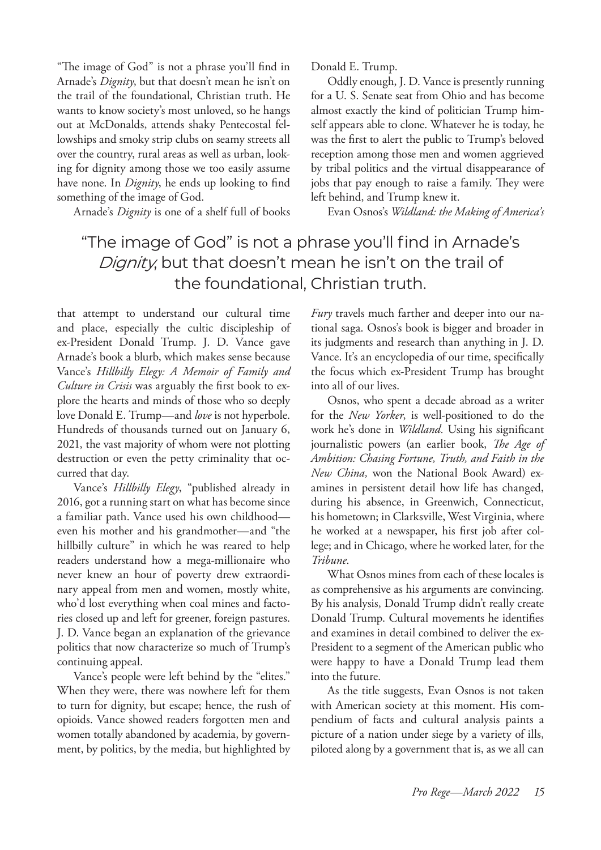"The image of God" is not a phrase you'll find in Arnade's *Dignity*, but that doesn't mean he isn't on the trail of the foundational, Christian truth. He wants to know society's most unloved, so he hangs out at McDonalds, attends shaky Pentecostal fellowships and smoky strip clubs on seamy streets all over the country, rural areas as well as urban, looking for dignity among those we too easily assume have none. In *Dignity*, he ends up looking to find something of the image of God.

Arnade's *Dignity* is one of a shelf full of books

Donald E. Trump.

Oddly enough, J. D. Vance is presently running for a U. S. Senate seat from Ohio and has become almost exactly the kind of politician Trump himself appears able to clone. Whatever he is today, he was the first to alert the public to Trump's beloved reception among those men and women aggrieved by tribal politics and the virtual disappearance of jobs that pay enough to raise a family. They were left behind, and Trump knew it.

Evan Osnos's *Wildland: the Making of America's* 

## "The image of God" is not a phrase you'll find in Arnade's Dignity, but that doesn't mean he isn't on the trail of the foundational, Christian truth.

that attempt to understand our cultural time and place, especially the cultic discipleship of ex-President Donald Trump. J. D. Vance gave Arnade's book a blurb, which makes sense because Vance's *Hillbilly Elegy: A Memoir of Family and Culture in Crisis* was arguably the first book to explore the hearts and minds of those who so deeply love Donald E. Trump—and *love* is not hyperbole. Hundreds of thousands turned out on January 6, 2021, the vast majority of whom were not plotting destruction or even the petty criminality that occurred that day.

Vance's *Hillbilly Elegy*, "published already in 2016, got a running start on what has become since a familiar path. Vance used his own childhood even his mother and his grandmother—and "the hillbilly culture" in which he was reared to help readers understand how a mega-millionaire who never knew an hour of poverty drew extraordinary appeal from men and women, mostly white, who'd lost everything when coal mines and factories closed up and left for greener, foreign pastures. J. D. Vance began an explanation of the grievance politics that now characterize so much of Trump's continuing appeal.

Vance's people were left behind by the "elites." When they were, there was nowhere left for them to turn for dignity, but escape; hence, the rush of opioids. Vance showed readers forgotten men and women totally abandoned by academia, by government, by politics, by the media, but highlighted by *Fury* travels much farther and deeper into our national saga. Osnos's book is bigger and broader in its judgments and research than anything in J. D. Vance. It's an encyclopedia of our time, specifically the focus which ex-President Trump has brought into all of our lives.

Osnos, who spent a decade abroad as a writer for the *New Yorker*, is well-positioned to do the work he's done in *Wildland.* Using his significant journalistic powers (an earlier book, *The Age of Ambition: Chasing Fortune, Truth, and Faith in the New China,* won the National Book Award) examines in persistent detail how life has changed, during his absence, in Greenwich, Connecticut, his hometown; in Clarksville, West Virginia, where he worked at a newspaper, his first job after college; and in Chicago, where he worked later, for the *Tribune*.

What Osnos mines from each of these locales is as comprehensive as his arguments are convincing. By his analysis, Donald Trump didn't really create Donald Trump. Cultural movements he identifies and examines in detail combined to deliver the ex-President to a segment of the American public who were happy to have a Donald Trump lead them into the future.

As the title suggests, Evan Osnos is not taken with American society at this moment. His compendium of facts and cultural analysis paints a picture of a nation under siege by a variety of ills, piloted along by a government that is, as we all can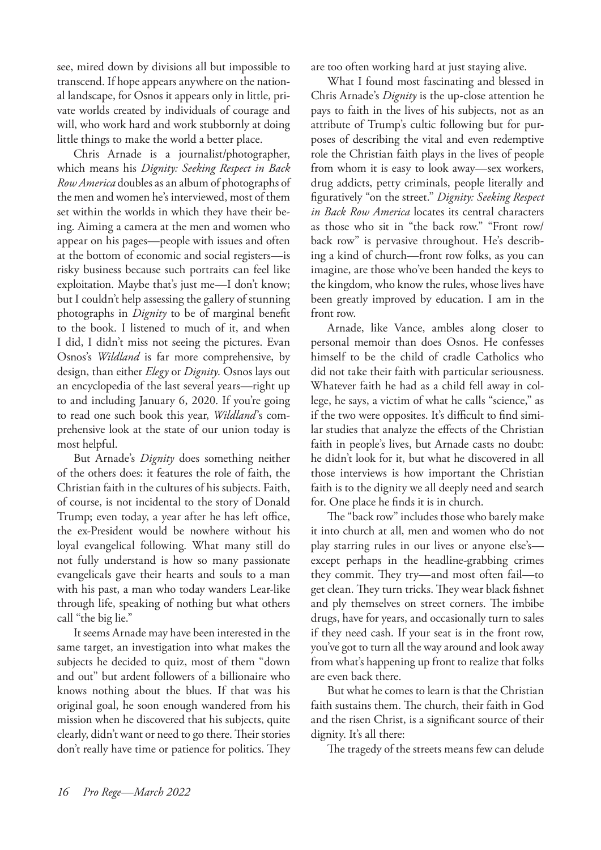see, mired down by divisions all but impossible to transcend. If hope appears anywhere on the national landscape, for Osnos it appears only in little, private worlds created by individuals of courage and will, who work hard and work stubbornly at doing little things to make the world a better place.

Chris Arnade is a journalist/photographer, which means his *Dignity: Seeking Respect in Back Row America* doubles as an album of photographs of the men and women he's interviewed, most of them set within the worlds in which they have their being. Aiming a camera at the men and women who appear on his pages—people with issues and often at the bottom of economic and social registers—is risky business because such portraits can feel like exploitation. Maybe that's just me—I don't know; but I couldn't help assessing the gallery of stunning photographs in *Dignity* to be of marginal benefit to the book. I listened to much of it, and when I did, I didn't miss not seeing the pictures. Evan Osnos's *Wildland* is far more comprehensive, by design, than either *Elegy* or *Dignity*. Osnos lays out an encyclopedia of the last several years—right up to and including January 6, 2020. If you're going to read one such book this year, *Wildland*'s comprehensive look at the state of our union today is most helpful.

But Arnade's *Dignity* does something neither of the others does: it features the role of faith, the Christian faith in the cultures of his subjects. Faith, of course, is not incidental to the story of Donald Trump; even today, a year after he has left office, the ex-President would be nowhere without his loyal evangelical following. What many still do not fully understand is how so many passionate evangelicals gave their hearts and souls to a man with his past, a man who today wanders Lear-like through life, speaking of nothing but what others call "the big lie."

It seems Arnade may have been interested in the same target, an investigation into what makes the subjects he decided to quiz, most of them "down and out" but ardent followers of a billionaire who knows nothing about the blues. If that was his original goal, he soon enough wandered from his mission when he discovered that his subjects, quite clearly, didn't want or need to go there. Their stories don't really have time or patience for politics. They are too often working hard at just staying alive.

What I found most fascinating and blessed in Chris Arnade's *Dignity* is the up-close attention he pays to faith in the lives of his subjects, not as an attribute of Trump's cultic following but for purposes of describing the vital and even redemptive role the Christian faith plays in the lives of people from whom it is easy to look away—sex workers, drug addicts, petty criminals, people literally and figuratively "on the street." *Dignity: Seeking Respect in Back Row America* locates its central characters as those who sit in "the back row." "Front row/ back row" is pervasive throughout. He's describing a kind of church—front row folks, as you can imagine, are those who've been handed the keys to the kingdom, who know the rules, whose lives have been greatly improved by education. I am in the front row.

Arnade, like Vance, ambles along closer to personal memoir than does Osnos. He confesses himself to be the child of cradle Catholics who did not take their faith with particular seriousness. Whatever faith he had as a child fell away in college, he says, a victim of what he calls "science," as if the two were opposites. It's difficult to find similar studies that analyze the effects of the Christian faith in people's lives, but Arnade casts no doubt: he didn't look for it, but what he discovered in all those interviews is how important the Christian faith is to the dignity we all deeply need and search for. One place he finds it is in church.

The "back row" includes those who barely make it into church at all, men and women who do not play starring rules in our lives or anyone else's except perhaps in the headline-grabbing crimes they commit. They try—and most often fail—to get clean. They turn tricks. They wear black fishnet and ply themselves on street corners. The imbibe drugs, have for years, and occasionally turn to sales if they need cash. If your seat is in the front row, you've got to turn all the way around and look away from what's happening up front to realize that folks are even back there.

But what he comes to learn is that the Christian faith sustains them. The church, their faith in God and the risen Christ, is a significant source of their dignity. It's all there:

The tragedy of the streets means few can delude